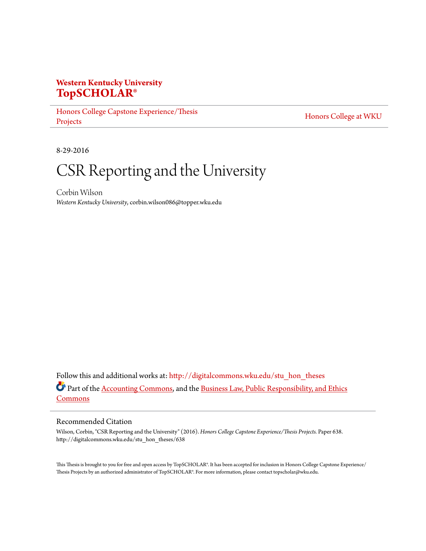# **Western Kentucky University [TopSCHOLAR®](http://digitalcommons.wku.edu?utm_source=digitalcommons.wku.edu%2Fstu_hon_theses%2F638&utm_medium=PDF&utm_campaign=PDFCoverPages)**

[Honors College Capstone Experience/Thesis](http://digitalcommons.wku.edu/stu_hon_theses?utm_source=digitalcommons.wku.edu%2Fstu_hon_theses%2F638&utm_medium=PDF&utm_campaign=PDFCoverPages) [Projects](http://digitalcommons.wku.edu/stu_hon_theses?utm_source=digitalcommons.wku.edu%2Fstu_hon_theses%2F638&utm_medium=PDF&utm_campaign=PDFCoverPages)

[Honors College at WKU](http://digitalcommons.wku.edu/honors_prog?utm_source=digitalcommons.wku.edu%2Fstu_hon_theses%2F638&utm_medium=PDF&utm_campaign=PDFCoverPages)

8-29-2016

# CSR Reporting and the University

Corbin Wilson *Western Kentucky University*, corbin.wilson086@topper.wku.edu

Follow this and additional works at: [http://digitalcommons.wku.edu/stu\\_hon\\_theses](http://digitalcommons.wku.edu/stu_hon_theses?utm_source=digitalcommons.wku.edu%2Fstu_hon_theses%2F638&utm_medium=PDF&utm_campaign=PDFCoverPages) Part of the [Accounting Commons](http://network.bepress.com/hgg/discipline/625?utm_source=digitalcommons.wku.edu%2Fstu_hon_theses%2F638&utm_medium=PDF&utm_campaign=PDFCoverPages), and the [Business Law, Public Responsibility, and Ethics](http://network.bepress.com/hgg/discipline/628?utm_source=digitalcommons.wku.edu%2Fstu_hon_theses%2F638&utm_medium=PDF&utm_campaign=PDFCoverPages) [Commons](http://network.bepress.com/hgg/discipline/628?utm_source=digitalcommons.wku.edu%2Fstu_hon_theses%2F638&utm_medium=PDF&utm_campaign=PDFCoverPages)

#### Recommended Citation

Wilson, Corbin, "CSR Reporting and the University" (2016). *Honors College Capstone Experience/Thesis Projects.* Paper 638. http://digitalcommons.wku.edu/stu\_hon\_theses/638

This Thesis is brought to you for free and open access by TopSCHOLAR®. It has been accepted for inclusion in Honors College Capstone Experience/ Thesis Projects by an authorized administrator of TopSCHOLAR®. For more information, please contact topscholar@wku.edu.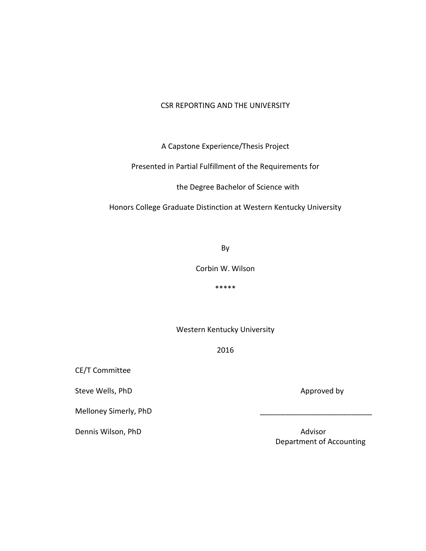# CSR REPORTING AND THE UNIVERSITY

A Capstone Experience/Thesis Project

Presented in Partial Fulfillment of the Requirements for

the Degree Bachelor of Science with

Honors College Graduate Distinction at Western Kentucky University

By

Corbin W. Wilson

\*\*\*\*\*

Western Kentucky University

2016

CE/T Committee

Steve Wells, PhD Approved by Approved by

Melloney Simerly, PhD

Dennis Wilson, PhD **Advisor** Advisor

Department of Accounting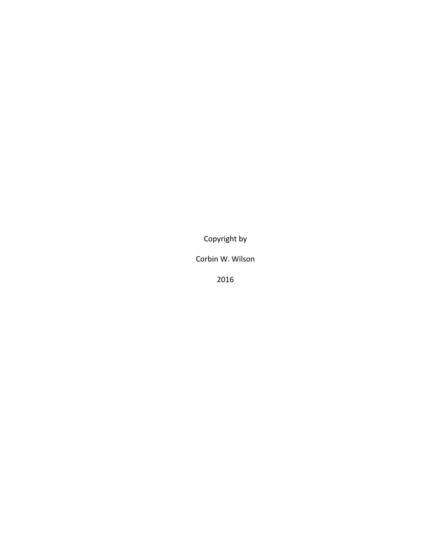Copyright by

Corbin W. Wilson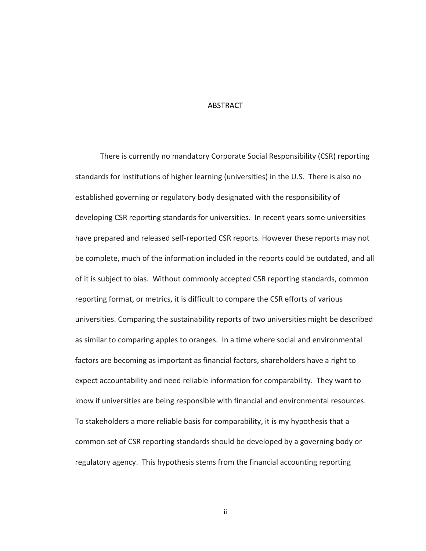#### **ABSTRACT**

There is currently no mandatory Corporate Social Responsibility (CSR) reporting standards for institutions of higher learning (universities) in the U.S. There is also no established governing or regulatory body designated with the responsibility of developing CSR reporting standards for universities. In recent years some universities have prepared and released self-reported CSR reports. However these reports may not be complete, much of the information included in the reports could be outdated, and all of it is subject to bias. Without commonly accepted CSR reporting standards, common reporting format, or metrics, it is difficult to compare the CSR efforts of various universities. Comparing the sustainability reports of two universities might be described as similar to comparing apples to oranges. In a time where social and environmental factors are becoming as important as financial factors, shareholders have a right to expect accountability and need reliable information for comparability. They want to know if universities are being responsible with financial and environmental resources. To stakeholders a more reliable basis for comparability, it is my hypothesis that a common set of CSR reporting standards should be developed by a governing body or regulatory agency. This hypothesis stems from the financial accounting reporting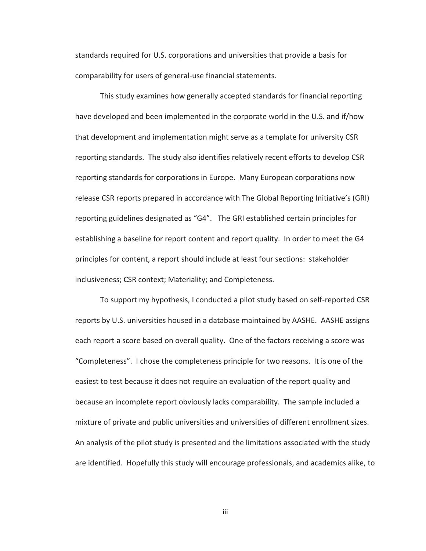standards required for U.S. corporations and universities that provide a basis for comparability for users of general-use financial statements.

This study examines how generally accepted standards for financial reporting have developed and been implemented in the corporate world in the U.S. and if/how that development and implementation might serve as a template for university CSR reporting standards. The study also identifies relatively recent efforts to develop CSR reporting standards for corporations in Europe. Many European corporations now release CSR reports prepared in accordance with The Global Reporting Initiative's (GRI) reporting guidelines designated as "G4". The GRI established certain principles for establishing a baseline for report content and report quality. In order to meet the G4 principles for content, a report should include at least four sections: stakeholder inclusiveness; CSR context; Materiality; and Completeness.

To support my hypothesis, I conducted a pilot study based on self-reported CSR reports by U.S. universities housed in a database maintained by AASHE. AASHE assigns each report a score based on overall quality. One of the factors receiving a score was "Completeness". I chose the completeness principle for two reasons. It is one of the easiest to test because it does not require an evaluation of the report quality and because an incomplete report obviously lacks comparability. The sample included a mixture of private and public universities and universities of different enrollment sizes. An analysis of the pilot study is presented and the limitations associated with the study are identified. Hopefully this study will encourage professionals, and academics alike, to

iii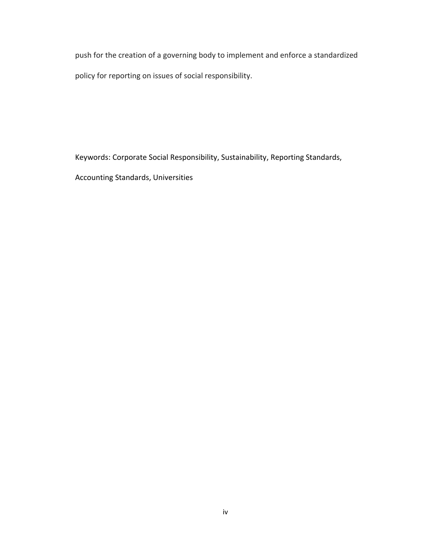push for the creation of a governing body to implement and enforce a standardized policy for reporting on issues of social responsibility.

Keywords: Corporate Social Responsibility, Sustainability, Reporting Standards,

Accounting Standards, Universities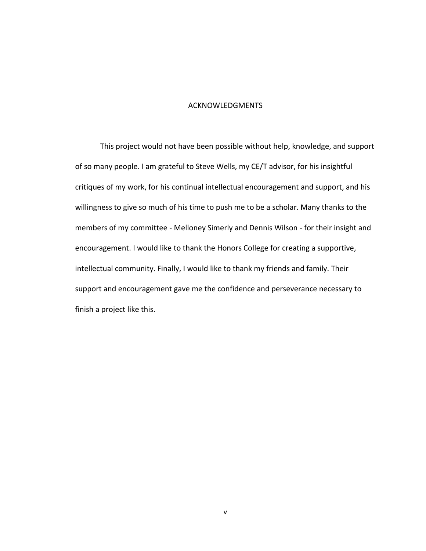#### ACKNOWLEDGMENTS

This project would not have been possible without help, knowledge, and support of so many people. I am grateful to Steve Wells, my CE/T advisor, for his insightful critiques of my work, for his continual intellectual encouragement and support, and his willingness to give so much of his time to push me to be a scholar. Many thanks to the members of my committee - Melloney Simerly and Dennis Wilson - for their insight and encouragement. I would like to thank the Honors College for creating a supportive, intellectual community. Finally, I would like to thank my friends and family. Their support and encouragement gave me the confidence and perseverance necessary to finish a project like this.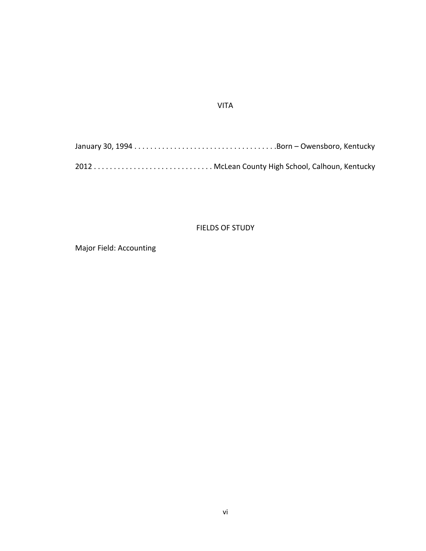# VITA

# FIELDS OF STUDY

Major Field: Accounting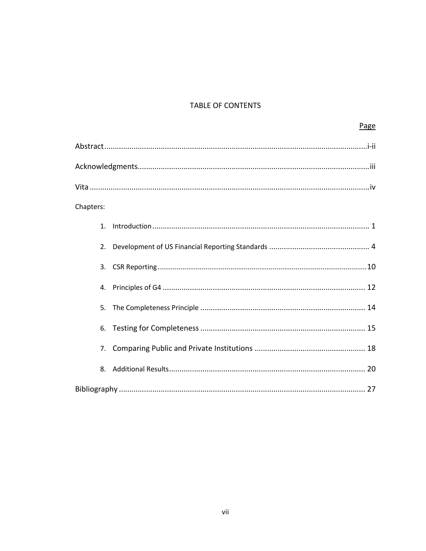# TABLE OF CONTENTS

| Page      |
|-----------|
|           |
|           |
|           |
| Chapters: |
| 1.        |
| 2.        |
| 3.        |
| 4.        |
| 5.        |
| 6.        |
| 7.        |
| 8.        |
|           |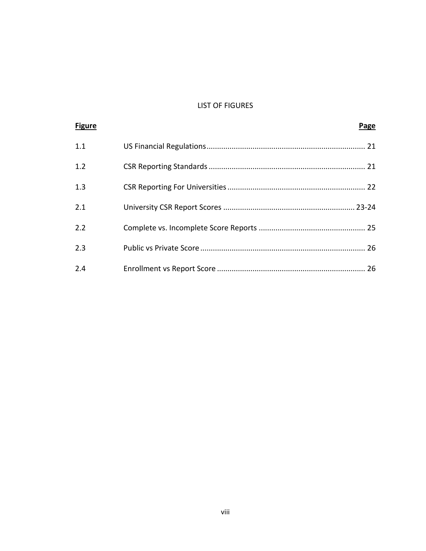# LIST OF FIGURES

| <b>Figure</b> | Page |
|---------------|------|
| 1.1           |      |
| 1.2           |      |
| 1.3           |      |
| 2.1           |      |
| 2.2           |      |
| 2.3           |      |
| 2.4           |      |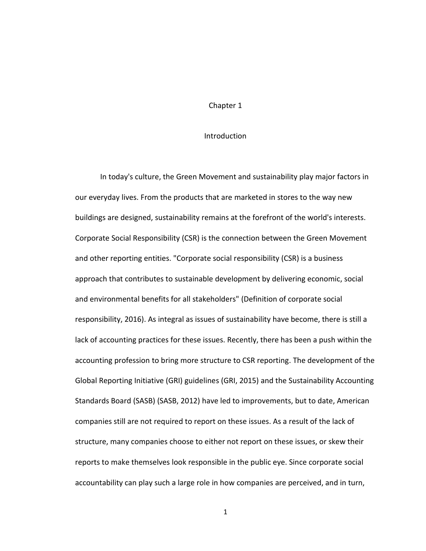#### **Introduction**

In today's culture, the Green Movement and sustainability play major factors in our everyday lives. From the products that are marketed in stores to the way new buildings are designed, sustainability remains at the forefront of the world's interests. Corporate Social Responsibility (CSR) is the connection between the Green Movement and other reporting entities. "Corporate social responsibility (CSR) is a business approach that contributes to sustainable development by delivering economic, social and environmental benefits for all stakeholders" (Definition of corporate social responsibility, 2016). As integral as issues of sustainability have become, there is still a lack of accounting practices for these issues. Recently, there has been a push within the accounting profession to bring more structure to CSR reporting. The development of the Global Reporting Initiative (GRI) guidelines (GRI, 2015) and the Sustainability Accounting Standards Board (SASB) (SASB, 2012) have led to improvements, but to date, American companies still are not required to report on these issues. As a result of the lack of structure, many companies choose to either not report on these issues, or skew their reports to make themselves look responsible in the public eye. Since corporate social accountability can play such a large role in how companies are perceived, and in turn,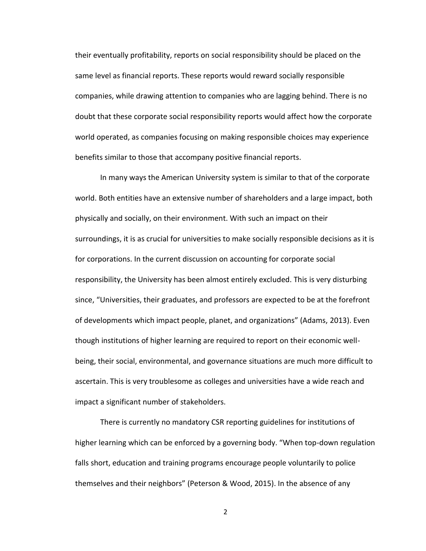their eventually profitability, reports on social responsibility should be placed on the same level as financial reports. These reports would reward socially responsible companies, while drawing attention to companies who are lagging behind. There is no doubt that these corporate social responsibility reports would affect how the corporate world operated, as companies focusing on making responsible choices may experience benefits similar to those that accompany positive financial reports.

In many ways the American University system is similar to that of the corporate world. Both entities have an extensive number of shareholders and a large impact, both physically and socially, on their environment. With such an impact on their surroundings, it is as crucial for universities to make socially responsible decisions as it is for corporations. In the current discussion on accounting for corporate social responsibility, the University has been almost entirely excluded. This is very disturbing since, "Universities, their graduates, and professors are expected to be at the forefront of developments which impact people, planet, and organizations" (Adams, 2013). Even though institutions of higher learning are required to report on their economic wellbeing, their social, environmental, and governance situations are much more difficult to ascertain. This is very troublesome as colleges and universities have a wide reach and impact a significant number of stakeholders.

There is currently no mandatory CSR reporting guidelines for institutions of higher learning which can be enforced by a governing body. "When top-down regulation falls short, education and training programs encourage people voluntarily to police themselves and their neighbors" (Peterson & Wood, 2015). In the absence of any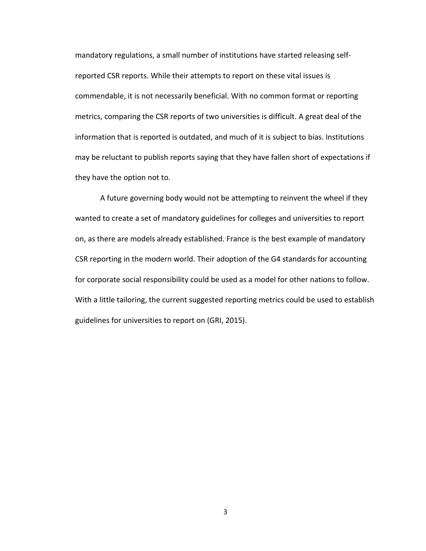mandatory regulations, a small number of institutions have started releasing selfreported CSR reports. While their attempts to report on these vital issues is commendable, it is not necessarily beneficial. With no common format or reporting metrics, comparing the CSR reports of two universities is difficult. A great deal of the information that is reported is outdated, and much of it is subject to bias. Institutions may be reluctant to publish reports saying that they have fallen short of expectations if they have the option not to.

A future governing body would not be attempting to reinvent the wheel if they wanted to create a set of mandatory guidelines for colleges and universities to report on, as there are models already established. France is the best example of mandatory CSR reporting in the modern world. Their adoption of the G4 standards for accounting for corporate social responsibility could be used as a model for other nations to follow. With a little tailoring, the current suggested reporting metrics could be used to establish guidelines for universities to report on (GRI, 2015).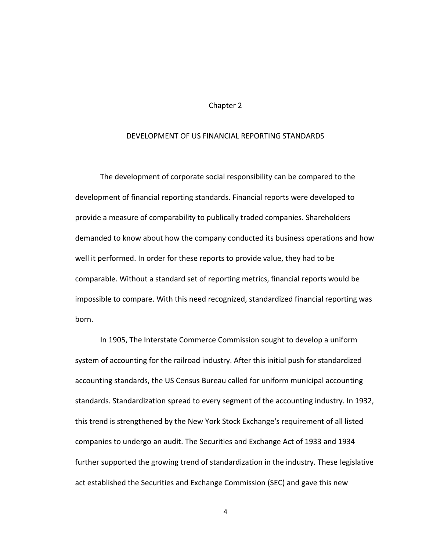#### DEVELOPMENT OF US FINANCIAL REPORTING STANDARDS

The development of corporate social responsibility can be compared to the development of financial reporting standards. Financial reports were developed to provide a measure of comparability to publically traded companies. Shareholders demanded to know about how the company conducted its business operations and how well it performed. In order for these reports to provide value, they had to be comparable. Without a standard set of reporting metrics, financial reports would be impossible to compare. With this need recognized, standardized financial reporting was born.

In 1905, The Interstate Commerce Commission sought to develop a uniform system of accounting for the railroad industry. After this initial push for standardized accounting standards, the US Census Bureau called for uniform municipal accounting standards. Standardization spread to every segment of the accounting industry. In 1932, this trend is strengthened by the New York Stock Exchange's requirement of all listed companies to undergo an audit. The Securities and Exchange Act of 1933 and 1934 further supported the growing trend of standardization in the industry. These legislative act established the Securities and Exchange Commission (SEC) and gave this new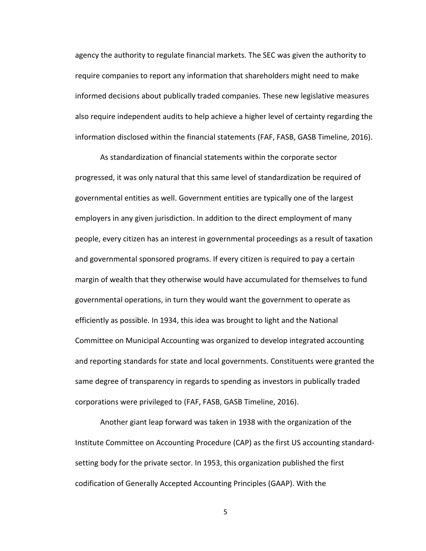agency the authority to regulate financial markets. The SEC was given the authority to require companies to report any information that shareholders might need to make informed decisions about publically traded companies. These new legislative measures also require independent audits to help achieve a higher level of certainty regarding the information disclosed within the financial statements (FAF, FASB, GASB Timeline, 2016).

As standardization of financial statements within the corporate sector progressed, it was only natural that this same level of standardization be required of governmental entities as well. Government entities are typically one of the largest employers in any given jurisdiction. In addition to the direct employment of many people, every citizen has an interest in governmental proceedings as a result of taxation and governmental sponsored programs. If every citizen is required to pay a certain margin of wealth that they otherwise would have accumulated for themselves to fund governmental operations, in turn they would want the government to operate as efficiently as possible. In 1934, this idea was brought to light and the National Committee on Municipal Accounting was organized to develop integrated accounting and reporting standards for state and local governments. Constituents were granted the same degree of transparency in regards to spending as investors in publically traded corporations were privileged to (FAF, FASB, GASB Timeline, 2016).

Another giant leap forward was taken in 1938 with the organization of the Institute Committee on Accounting Procedure (CAP) as the first US accounting standardsetting body for the private sector. In 1953, this organization published the first codification of Generally Accepted Accounting Principles (GAAP). With the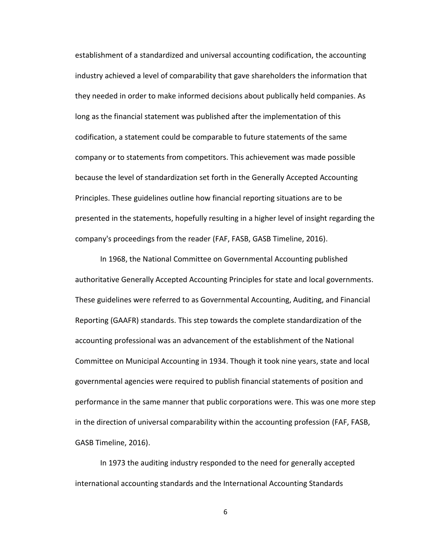establishment of a standardized and universal accounting codification, the accounting industry achieved a level of comparability that gave shareholders the information that they needed in order to make informed decisions about publically held companies. As long as the financial statement was published after the implementation of this codification, a statement could be comparable to future statements of the same company or to statements from competitors. This achievement was made possible because the level of standardization set forth in the Generally Accepted Accounting Principles. These guidelines outline how financial reporting situations are to be presented in the statements, hopefully resulting in a higher level of insight regarding the company's proceedings from the reader (FAF, FASB, GASB Timeline, 2016).

In 1968, the National Committee on Governmental Accounting published authoritative Generally Accepted Accounting Principles for state and local governments. These guidelines were referred to as Governmental Accounting, Auditing, and Financial Reporting (GAAFR) standards. This step towards the complete standardization of the accounting professional was an advancement of the establishment of the National Committee on Municipal Accounting in 1934. Though it took nine years, state and local governmental agencies were required to publish financial statements of position and performance in the same manner that public corporations were. This was one more step in the direction of universal comparability within the accounting profession (FAF, FASB, GASB Timeline, 2016).

In 1973 the auditing industry responded to the need for generally accepted international accounting standards and the International Accounting Standards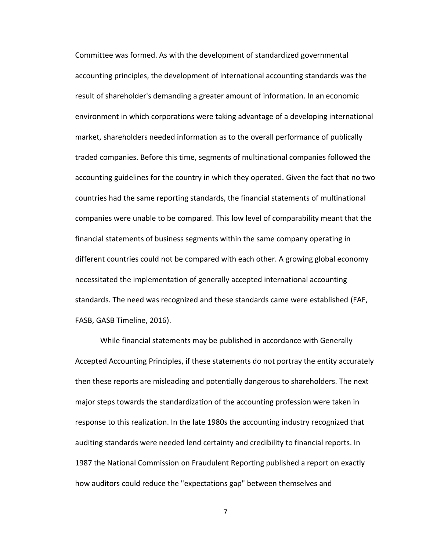Committee was formed. As with the development of standardized governmental accounting principles, the development of international accounting standards was the result of shareholder's demanding a greater amount of information. In an economic environment in which corporations were taking advantage of a developing international market, shareholders needed information as to the overall performance of publically traded companies. Before this time, segments of multinational companies followed the accounting guidelines for the country in which they operated. Given the fact that no two countries had the same reporting standards, the financial statements of multinational companies were unable to be compared. This low level of comparability meant that the financial statements of business segments within the same company operating in different countries could not be compared with each other. A growing global economy necessitated the implementation of generally accepted international accounting standards. The need was recognized and these standards came were established (FAF, FASB, GASB Timeline, 2016).

While financial statements may be published in accordance with Generally Accepted Accounting Principles, if these statements do not portray the entity accurately then these reports are misleading and potentially dangerous to shareholders. The next major steps towards the standardization of the accounting profession were taken in response to this realization. In the late 1980s the accounting industry recognized that auditing standards were needed lend certainty and credibility to financial reports. In 1987 the National Commission on Fraudulent Reporting published a report on exactly how auditors could reduce the "expectations gap" between themselves and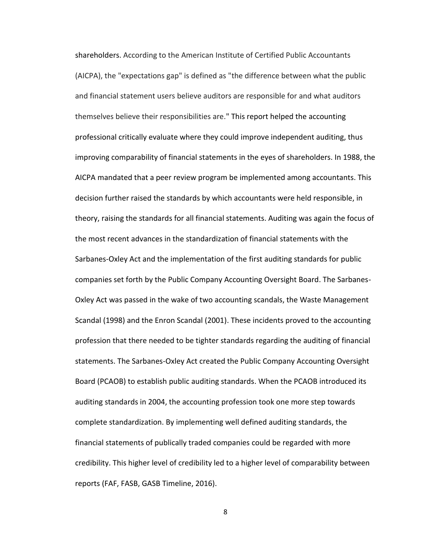shareholders. According to the American Institute of Certified Public Accountants (AICPA), the "expectations gap" is defined as "the difference between what the public and financial statement users believe auditors are responsible for and what auditors themselves believe their responsibilities are." This report helped the accounting professional critically evaluate where they could improve independent auditing, thus improving comparability of financial statements in the eyes of shareholders. In 1988, the AICPA mandated that a peer review program be implemented among accountants. This decision further raised the standards by which accountants were held responsible, in theory, raising the standards for all financial statements. Auditing was again the focus of the most recent advances in the standardization of financial statements with the Sarbanes-Oxley Act and the implementation of the first auditing standards for public companies set forth by the Public Company Accounting Oversight Board. The Sarbanes-Oxley Act was passed in the wake of two accounting scandals, the Waste Management Scandal (1998) and the Enron Scandal (2001). These incidents proved to the accounting profession that there needed to be tighter standards regarding the auditing of financial statements. The Sarbanes-Oxley Act created the Public Company Accounting Oversight Board (PCAOB) to establish public auditing standards. When the PCAOB introduced its auditing standards in 2004, the accounting profession took one more step towards complete standardization. By implementing well defined auditing standards, the financial statements of publically traded companies could be regarded with more credibility. This higher level of credibility led to a higher level of comparability between reports (FAF, FASB, GASB Timeline, 2016).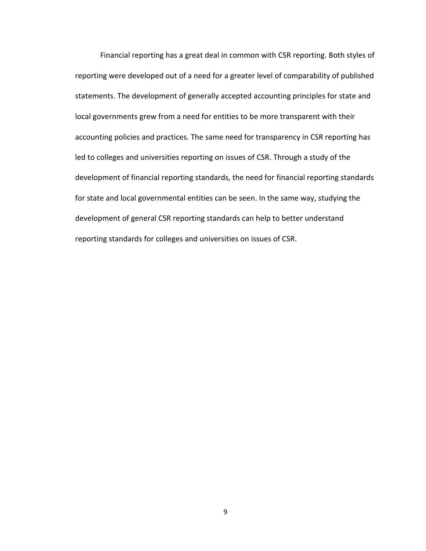Financial reporting has a great deal in common with CSR reporting. Both styles of reporting were developed out of a need for a greater level of comparability of published statements. The development of generally accepted accounting principles for state and local governments grew from a need for entities to be more transparent with their accounting policies and practices. The same need for transparency in CSR reporting has led to colleges and universities reporting on issues of CSR. Through a study of the development of financial reporting standards, the need for financial reporting standards for state and local governmental entities can be seen. In the same way, studying the development of general CSR reporting standards can help to better understand reporting standards for colleges and universities on issues of CSR.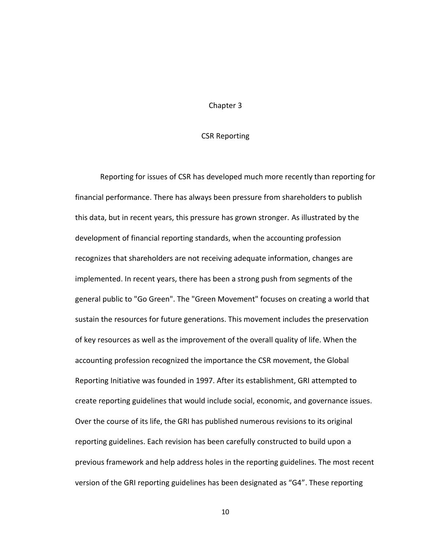#### CSR Reporting

Reporting for issues of CSR has developed much more recently than reporting for financial performance. There has always been pressure from shareholders to publish this data, but in recent years, this pressure has grown stronger. As illustrated by the development of financial reporting standards, when the accounting profession recognizes that shareholders are not receiving adequate information, changes are implemented. In recent years, there has been a strong push from segments of the general public to "Go Green". The "Green Movement" focuses on creating a world that sustain the resources for future generations. This movement includes the preservation of key resources as well as the improvement of the overall quality of life. When the accounting profession recognized the importance the CSR movement, the Global Reporting Initiative was founded in 1997. After its establishment, GRI attempted to create reporting guidelines that would include social, economic, and governance issues. Over the course of its life, the GRI has published numerous revisions to its original reporting guidelines. Each revision has been carefully constructed to build upon a previous framework and help address holes in the reporting guidelines. The most recent version of the GRI reporting guidelines has been designated as "G4". These reporting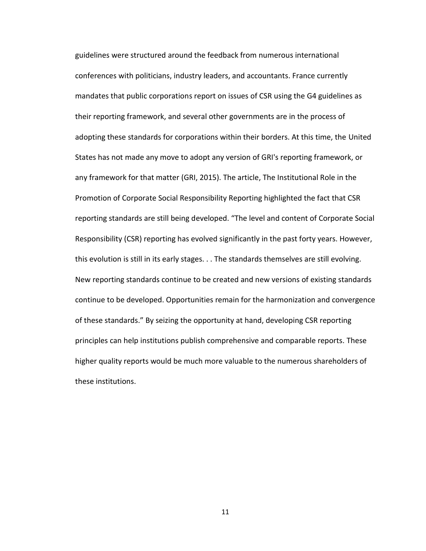guidelines were structured around the feedback from numerous international conferences with politicians, industry leaders, and accountants. France currently mandates that public corporations report on issues of CSR using the G4 guidelines as their reporting framework, and several other governments are in the process of adopting these standards for corporations within their borders. At this time, the United States has not made any move to adopt any version of GRI's reporting framework, or any framework for that matter (GRI, 2015). The article, The Institutional Role in the Promotion of Corporate Social Responsibility Reporting highlighted the fact that CSR reporting standards are still being developed. "The level and content of Corporate Social Responsibility (CSR) reporting has evolved significantly in the past forty years. However, this evolution is still in its early stages. . . The standards themselves are still evolving. New reporting standards continue to be created and new versions of existing standards continue to be developed. Opportunities remain for the harmonization and convergence of these standards." By seizing the opportunity at hand, developing CSR reporting principles can help institutions publish comprehensive and comparable reports. These higher quality reports would be much more valuable to the numerous shareholders of these institutions.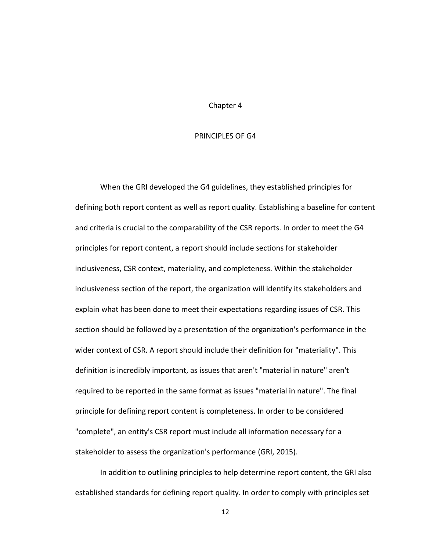#### PRINCIPLES OF G4

When the GRI developed the G4 guidelines, they established principles for defining both report content as well as report quality. Establishing a baseline for content and criteria is crucial to the comparability of the CSR reports. In order to meet the G4 principles for report content, a report should include sections for stakeholder inclusiveness, CSR context, materiality, and completeness. Within the stakeholder inclusiveness section of the report, the organization will identify its stakeholders and explain what has been done to meet their expectations regarding issues of CSR. This section should be followed by a presentation of the organization's performance in the wider context of CSR. A report should include their definition for "materiality". This definition is incredibly important, as issues that aren't "material in nature" aren't required to be reported in the same format as issues "material in nature". The final principle for defining report content is completeness. In order to be considered "complete", an entity's CSR report must include all information necessary for a stakeholder to assess the organization's performance (GRI, 2015).

In addition to outlining principles to help determine report content, the GRI also established standards for defining report quality. In order to comply with principles set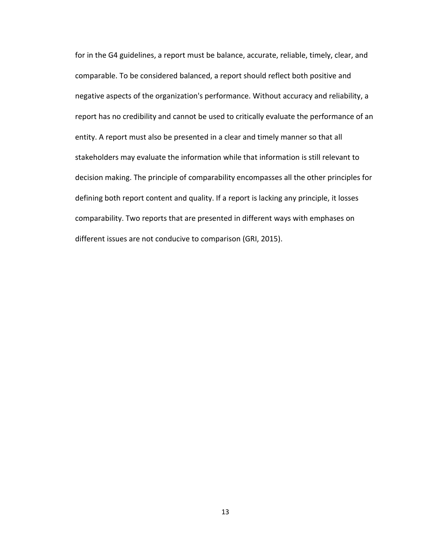for in the G4 guidelines, a report must be balance, accurate, reliable, timely, clear, and comparable. To be considered balanced, a report should reflect both positive and negative aspects of the organization's performance. Without accuracy and reliability, a report has no credibility and cannot be used to critically evaluate the performance of an entity. A report must also be presented in a clear and timely manner so that all stakeholders may evaluate the information while that information is still relevant to decision making. The principle of comparability encompasses all the other principles for defining both report content and quality. If a report is lacking any principle, it losses comparability. Two reports that are presented in different ways with emphases on different issues are not conducive to comparison (GRI, 2015).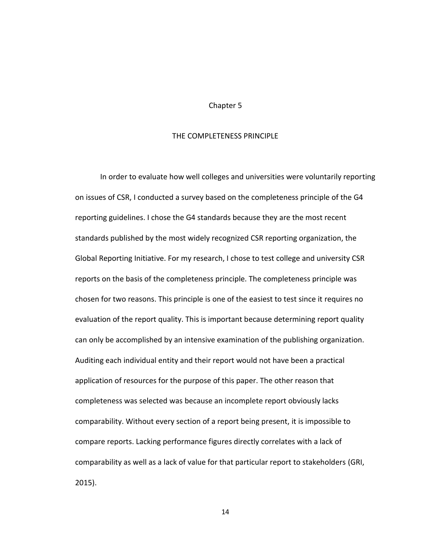#### THE COMPLETENESS PRINCIPLE

In order to evaluate how well colleges and universities were voluntarily reporting on issues of CSR, I conducted a survey based on the completeness principle of the G4 reporting guidelines. I chose the G4 standards because they are the most recent standards published by the most widely recognized CSR reporting organization, the Global Reporting Initiative. For my research, I chose to test college and university CSR reports on the basis of the completeness principle. The completeness principle was chosen for two reasons. This principle is one of the easiest to test since it requires no evaluation of the report quality. This is important because determining report quality can only be accomplished by an intensive examination of the publishing organization. Auditing each individual entity and their report would not have been a practical application of resources for the purpose of this paper. The other reason that completeness was selected was because an incomplete report obviously lacks comparability. Without every section of a report being present, it is impossible to compare reports. Lacking performance figures directly correlates with a lack of comparability as well as a lack of value for that particular report to stakeholders (GRI, 2015).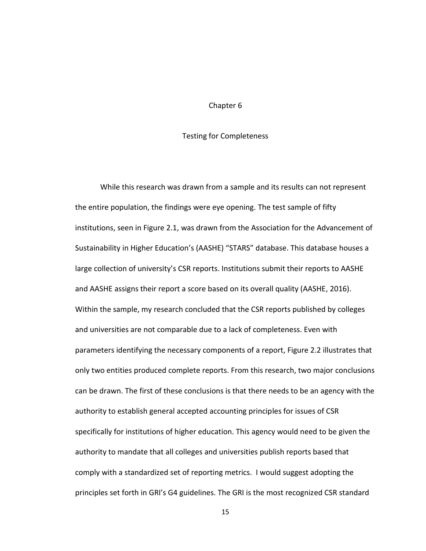#### Testing for Completeness

While this research was drawn from a sample and its results can not represent the entire population, the findings were eye opening. The test sample of fifty institutions, seen in Figure 2.1, was drawn from the Association for the Advancement of Sustainability in Higher Education's (AASHE) "STARS" database. This database houses a large collection of university's CSR reports. Institutions submit their reports to AASHE and AASHE assigns their report a score based on its overall quality (AASHE, 2016). Within the sample, my research concluded that the CSR reports published by colleges and universities are not comparable due to a lack of completeness. Even with parameters identifying the necessary components of a report, Figure 2.2 illustrates that only two entities produced complete reports. From this research, two major conclusions can be drawn. The first of these conclusions is that there needs to be an agency with the authority to establish general accepted accounting principles for issues of CSR specifically for institutions of higher education. This agency would need to be given the authority to mandate that all colleges and universities publish reports based that comply with a standardized set of reporting metrics. I would suggest adopting the principles set forth in GRI's G4 guidelines. The GRI is the most recognized CSR standard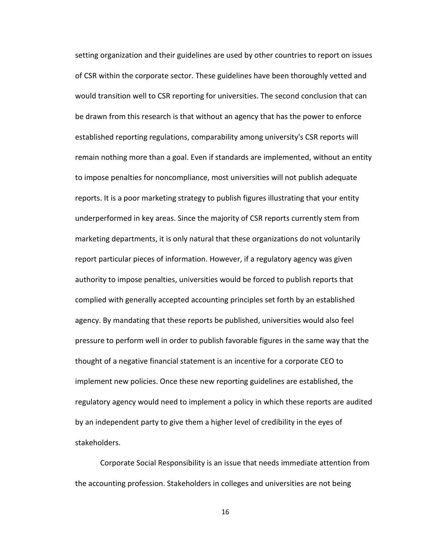setting organization and their guidelines are used by other countries to report on issues of CSR within the corporate sector. These guidelines have been thoroughly vetted and would transition well to CSR reporting for universities. The second conclusion that can be drawn from this research is that without an agency that has the power to enforce established reporting regulations, comparability among university's CSR reports will remain nothing more than a goal. Even if standards are implemented, without an entity to impose penalties for noncompliance, most universities will not publish adequate reports. It is a poor marketing strategy to publish figures illustrating that your entity underperformed in key areas. Since the majority of CSR reports currently stem from marketing departments, it is only natural that these organizations do not voluntarily report particular pieces of information. However, if a regulatory agency was given authority to impose penalties, universities would be forced to publish reports that complied with generally accepted accounting principles set forth by an established agency. By mandating that these reports be published, universities would also feel pressure to perform well in order to publish favorable figures in the same way that the thought of a negative financial statement is an incentive for a corporate CEO to implement new policies. Once these new reporting guidelines are established, the regulatory agency would need to implement a policy in which these reports are audited by an independent party to give them a higher level of credibility in the eyes of stakeholders.

Corporate Social Responsibility is an issue that needs immediate attention from the accounting profession. Stakeholders in colleges and universities are not being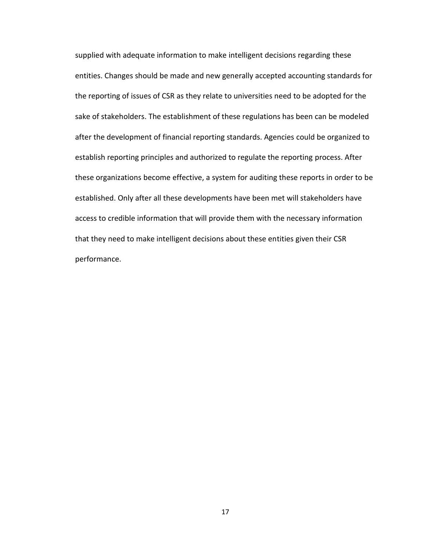supplied with adequate information to make intelligent decisions regarding these entities. Changes should be made and new generally accepted accounting standards for the reporting of issues of CSR as they relate to universities need to be adopted for the sake of stakeholders. The establishment of these regulations has been can be modeled after the development of financial reporting standards. Agencies could be organized to establish reporting principles and authorized to regulate the reporting process. After these organizations become effective, a system for auditing these reports in order to be established. Only after all these developments have been met will stakeholders have access to credible information that will provide them with the necessary information that they need to make intelligent decisions about these entities given their CSR performance.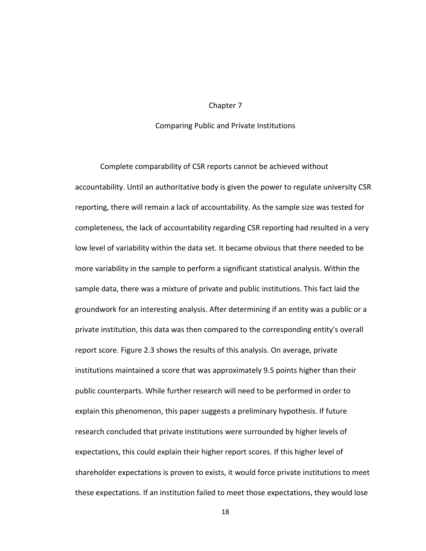#### Comparing Public and Private Institutions

Complete comparability of CSR reports cannot be achieved without accountability. Until an authoritative body is given the power to regulate university CSR reporting, there will remain a lack of accountability. As the sample size was tested for completeness, the lack of accountability regarding CSR reporting had resulted in a very low level of variability within the data set. It became obvious that there needed to be more variability in the sample to perform a significant statistical analysis. Within the sample data, there was a mixture of private and public institutions. This fact laid the groundwork for an interesting analysis. After determining if an entity was a public or a private institution, this data was then compared to the corresponding entity's overall report score. Figure 2.3 shows the results of this analysis. On average, private institutions maintained a score that was approximately 9.5 points higher than their public counterparts. While further research will need to be performed in order to explain this phenomenon, this paper suggests a preliminary hypothesis. If future research concluded that private institutions were surrounded by higher levels of expectations, this could explain their higher report scores. If this higher level of shareholder expectations is proven to exists, it would force private institutions to meet these expectations. If an institution failed to meet those expectations, they would lose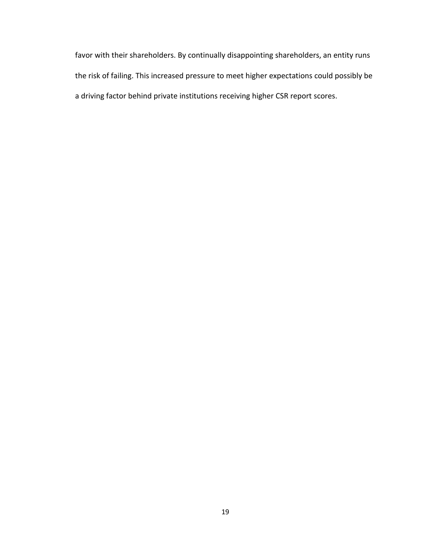favor with their shareholders. By continually disappointing shareholders, an entity runs the risk of failing. This increased pressure to meet higher expectations could possibly be a driving factor behind private institutions receiving higher CSR report scores.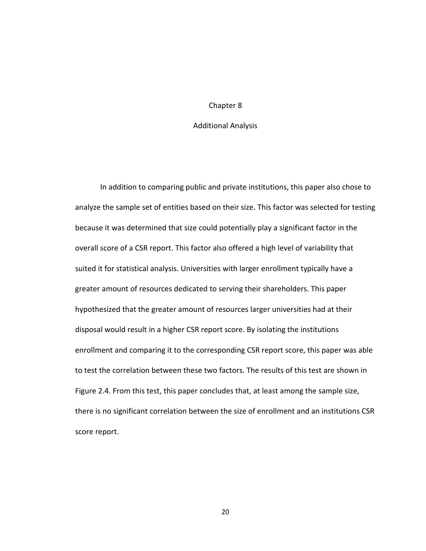#### Additional Analysis

In addition to comparing public and private institutions, this paper also chose to analyze the sample set of entities based on their size. This factor was selected for testing because it was determined that size could potentially play a significant factor in the overall score of a CSR report. This factor also offered a high level of variability that suited it for statistical analysis. Universities with larger enrollment typically have a greater amount of resources dedicated to serving their shareholders. This paper hypothesized that the greater amount of resources larger universities had at their disposal would result in a higher CSR report score. By isolating the institutions enrollment and comparing it to the corresponding CSR report score, this paper was able to test the correlation between these two factors. The results of this test are shown in Figure 2.4. From this test, this paper concludes that, at least among the sample size, there is no significant correlation between the size of enrollment and an institutions CSR score report.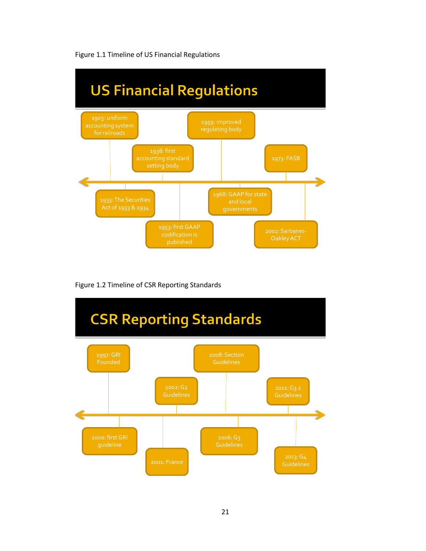

Figure 1.1 Timeline of US Financial Regulations

Figure 1.2 Timeline of CSR Reporting Standards

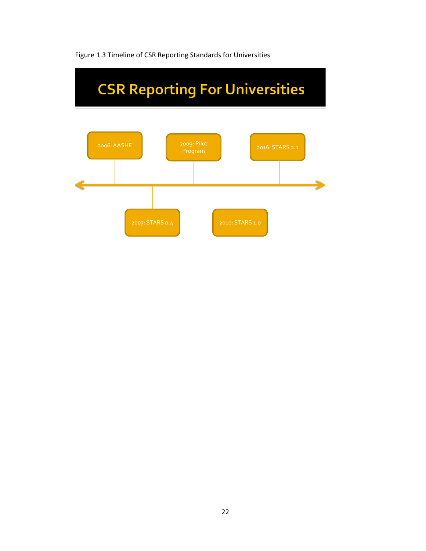

Figure 1.3 Timeline of CSR Reporting Standards for Universities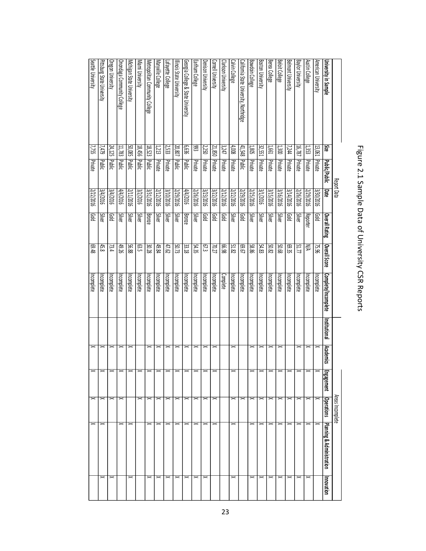| Beloit College<br><b>Baylor University</b><br>Belmont University<br><b>Austin College</b><br>American University<br>University in Sample<br>š<br>1,300<br>18787<br>1353<br>13,061<br>7,244<br>Private<br>Private<br>Private<br>Private | Public/Public<br>Report Data<br>9102/778<br>Date<br>3/30/2016<br>3/26/2016<br>3739/2016 | Silver<br><b>Reporter</b><br>Overall Rating<br><b>Gold</b> | Overall Score<br>NΑ<br>51.77<br>75.96 | Complete/Incomplete<br>Incomplete<br>Incomplete | Institutional | <b>Academics</b> | vgaement | Areas Incomplete<br><b>Operations</b> | <b>Planning &amp; Administration</b> | Innovation  |
|----------------------------------------------------------------------------------------------------------------------------------------------------------------------------------------------------------------------------------------|-----------------------------------------------------------------------------------------|------------------------------------------------------------|---------------------------------------|-------------------------------------------------|---------------|------------------|----------|---------------------------------------|--------------------------------------|-------------|
|                                                                                                                                                                                                                                        |                                                                                         |                                                            |                                       |                                                 |               |                  |          |                                       |                                      |             |
|                                                                                                                                                                                                                                        |                                                                                         |                                                            |                                       |                                                 |               |                  |          |                                       |                                      |             |
|                                                                                                                                                                                                                                        |                                                                                         |                                                            |                                       |                                                 |               |                  |          |                                       |                                      |             |
|                                                                                                                                                                                                                                        |                                                                                         |                                                            |                                       |                                                 |               |                  |          |                                       |                                      | ≍           |
|                                                                                                                                                                                                                                        |                                                                                         |                                                            |                                       | Incomplete                                      |               |                  |          |                                       |                                      | ≍           |
|                                                                                                                                                                                                                                        |                                                                                         | Gold                                                       | 69.35                                 | Incomplete                                      |               |                  |          |                                       |                                      | ᆓ           |
| Private                                                                                                                                                                                                                                | 3/16/2016                                                                               | Silver                                                     | 89.03                                 | Incomplete                                      |               |                  |          |                                       | ×                                    | ≍           |
| Berea College<br>1,661<br>Private                                                                                                                                                                                                      | 3/15/2016                                                                               | Silver                                                     | <b>50.82</b>                          | Incomplete                                      |               |                  |          |                                       |                                      | ᆓ           |
| <b>Boston University</b><br>32,551<br>Private                                                                                                                                                                                          | 307/161                                                                                 | Silver                                                     | 54.83                                 | Incomplete                                      |               |                  |          |                                       |                                      |             |
| <b>Bowdoin College</b><br>1,805<br>Private                                                                                                                                                                                             | 3/25/2016                                                                               | Silver                                                     | 98.85                                 | Incomplete                                      |               |                  |          |                                       |                                      |             |
| California State University, Northridge<br>41,548<br><b>Public</b>                                                                                                                                                                     | 3/29/2016                                                                               | <b>Pold</b>                                                | 29.69                                 | Incomplete                                      |               |                  |          |                                       |                                      |             |
| Calvin College<br>4,008<br>Private                                                                                                                                                                                                     | 3/22/2016                                                                               | Silver                                                     | 51.82                                 | Incomplete                                      |               |                  |          |                                       | $\mathbf{\times}$                    | ᆓ           |
| Clarkson University<br>3247<br>Private                                                                                                                                                                                                 | 3/12/2016                                                                               | <b>Gold</b>                                                | 86.99                                 | Complete                                        |               |                  |          |                                       |                                      |             |
| Cornell University<br>21,850<br>Private                                                                                                                                                                                                | 3/22/2016                                                                               | Gold                                                       | 70.27                                 | Incomplete                                      |               |                  |          |                                       |                                      |             |
| Denison University<br>2,250<br>Private                                                                                                                                                                                                 | 3/23/2016                                                                               | <b>Gold</b>                                                | $\overline{\epsilon}$                 | Incomplete                                      |               |                  |          |                                       |                                      | ᆓ           |
| Earlham College<br>සි<br>Private                                                                                                                                                                                                       | 3/26/2016                                                                               | Silver                                                     | 54.35                                 | Incomplete                                      |               |                  |          |                                       |                                      | ᆓ           |
| Georgia College & State University<br>939<br>Public                                                                                                                                                                                    | 9102/7/7                                                                                | Bronze                                                     | 33.18                                 | Incomplete                                      |               |                  |          |                                       |                                      |             |
| llinois State University<br>20,807<br>Public                                                                                                                                                                                           | 3/29/2016                                                                               | Silver                                                     | 50.73                                 | Incomplete                                      |               |                  |          |                                       |                                      |             |
| Lafay <u>ette College</u><br>2,533<br>Private                                                                                                                                                                                          | 3/10/2016                                                                               | Silver                                                     | 47.62                                 | Incomplete                                      |               |                  |          |                                       |                                      | ᆓ           |
| Maryville College<br>1,213<br>Private                                                                                                                                                                                                  | 3112/2016                                                                               | Silver                                                     | 49.84                                 | Incomplete                                      |               |                  |          |                                       |                                      | $\geq$      |
| Metropolitan Community College<br>18,523<br>Public                                                                                                                                                                                     | 3/31/2016                                                                               | <b>Bronze</b>                                              | 30.28                                 | Incomplete                                      |               |                  |          |                                       | $\geq$                               | ᆓ           |
| Miami University<br>18,456<br>Public                                                                                                                                                                                                   | 3/2/2016                                                                                | Silver                                                     | នេះ                                   | Incomplete                                      |               |                  |          |                                       |                                      |             |
| Michigan State University<br>50,085 Public                                                                                                                                                                                             | 3/11/2016                                                                               | Silver                                                     | 8835                                  | Incomplete                                      |               |                  |          |                                       | $\mathbf{\times}$                    | $_{\times}$ |
| Onondaga Community College<br>11,783<br>blakic                                                                                                                                                                                         | 4/4/2016                                                                                | Silver                                                     | 49.26                                 | Incomplete                                      |               |                  |          |                                       | $\mathbb{R}$                         |             |
| Oregon University<br>24,125<br><b>Public</b>                                                                                                                                                                                           | 3/4/2016                                                                                | <b>Gold</b>                                                | 73.4                                  | Incomplete                                      |               |                  |          |                                       |                                      | $\geq$      |
| Pittsburg State University<br>7,479<br>Public                                                                                                                                                                                          | 3/4/2016                                                                                | Silver                                                     | 45.8                                  | Incomplete                                      |               |                  |          |                                       | $\mathord{\sim}$                     | ᆓ           |
| Seattle University<br>7,755<br>Private                                                                                                                                                                                                 | 3/22/2016                                                                               | pop                                                        | 8769                                  | Incomplete                                      | ×             |                  |          | X                                     | $\mathbf{\times}$                    |             |

# Figure 2.1 Sample Data of University CSR Reports Figure 2.1 Sample Data of University CSR Reports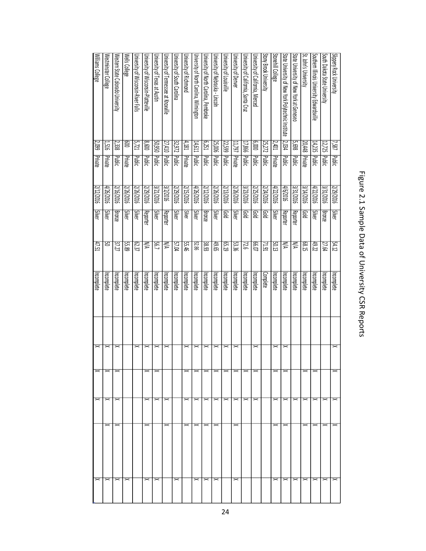|                                                    |                         |                |            |               |              | Figure 2.1 Sample Data of University CSR Reports |                       |                                       |                            |                                                                                                                                                      |
|----------------------------------------------------|-------------------------|----------------|------------|---------------|--------------|--------------------------------------------------|-----------------------|---------------------------------------|----------------------------|------------------------------------------------------------------------------------------------------------------------------------------------------|
| Slippery Rock University                           | 7,587                   | Public         | 9102/62/2  | Silver        | 24.12        | Incomplete                                       |                       |                                       |                            |                                                                                                                                                      |
| South Dakota State University                      | 12,725 Public           |                | 3/31/2016  | Bronze        | 27.64        | Incomplete                                       |                       |                                       | $\mathbf{\times}$          | $\mathbb{\vphantom{1}}^{\mathbb{\vphantom{1}}}_{\mathbb{\vphantom{1}}}}$                                                                             |
| Southern Illinois University Edwardsville          | 14,235                  | Public         | 9102/2016  | Silver        | 49.22        | Incomplete                                       |                       | $\mathord{\thicksim}$                 |                            | $\mathord{\thicksim}$<br>$\mathord{\thicksim}$                                                                                                       |
| St. John's University                              | 20,448 Private          |                | 3/14/2016  | <b>gord</b>   | E8.15        | Incomplete                                       |                       |                                       | $\overline{x}$             | $\mathbb{\vphantom{1}}^{\mathbb{\vphantom{1}}}_{\mathbb{\vphantom{1}}}}$<br>$\mathbb{\vphantom{1}}^{\mathbb{\vphantom{1}}}_{\mathbb{\vphantom{1}}}}$ |
| State University of New York at Geneseo            | <b>5,698</b>            | <b>Public</b>  | 3/31/2016  | Reporter      | ₹            | Incomplete                                       |                       |                                       | $\geq$                     | $\mathord{\thicksim}$                                                                                                                                |
| State University of New York Polytechnic Institute | 2,034                   | Public         | 9102/9/7   | Reporter      | ₹            | Incomplete                                       |                       | $\mathord{\thicksim}$                 |                            | $\mathord{\thicksim}$<br>$\mathbb{1}$                                                                                                                |
| Stonehill College                                  | 2,401                   | Private        | 4/22/2016  | Silver        | 50.13        | Incomplete                                       |                       |                                       | $\times$                   | $\mathbb{\vphantom{1}}^{\mathbb{\vphantom{1}}}_{\mathbb{\vphantom{1}}}}$<br>$\mathbb{\times}$                                                        |
| Stony Brook University                             | 25,272 Public           |                | 3/24/2016  | piod          | IS IZ        | <b>Complete</b>                                  |                       |                                       |                            |                                                                                                                                                      |
| University of California, Merced                   | $000^{9}$               | <b>Public</b>  | 3/25/2016  | piob          | 10.03        | Incomplete                                       |                       |                                       |                            |                                                                                                                                                      |
| University of California, Santa Cruz               | 17,866 Public           |                | 3/23/2016  | pop           | 97           | Incomplete                                       |                       | $\mathord{\thicksim}$                 | $\overline{\mathbf{K}}$    |                                                                                                                                                      |
| University of Denver                               | 11,797 Private          |                | 2/26/2016  | Silver        | <b>53.36</b> | Incomplete                                       |                       | $\mathord{\thicksim}$                 |                            | $\mathord{\vphantom{1}}^{\mathbf{<}}$<br>$\mathord{\vphantom{1}}^{\mathbf{<}}$                                                                       |
| University of Louisville                           | 22,599 Public           |                | 3/13/2016  | <b>gord</b>   | 62.19        | Incomplete                                       |                       | $\mathord{\vphantom{1}}^{\mathbf{<}}$ | $\times$ $\times$          |                                                                                                                                                      |
| University of Nebraska - Lincoln                   | 25,006 Public           |                | 3/26/2016  | Silver        | 49.65        | Incomplete                                       |                       |                                       | X                          | $\mathord{\vphantom{1}}^{\mathbf{<}}$<br>$\mathbb{\times}$                                                                                           |
| University of North Carolina, Pembroke             | 6,251                   | Public         | 3/12/2016  | Bronze        | 38.93        | Incomplete                                       |                       | $\mathord{\thicksim}$                 |                            | $\!$<br>$\mathord{\vphantom{1}}^{\text{}}$                                                                                                           |
| University of North Carolina, Wilmington           | 14,611 Public           |                | 4/26/2016  | Silver        | 52.86        | Incomplete                                       |                       |                                       | $\times$ $\times$ $\times$ | $\mathord{\vphantom{1}}^{\mathbf{<}}$<br>$\mathord{\vphantom{1}}^{\text{}}$                                                                          |
| University of Richmond                             | 4,181                   | <b>Private</b> | 9102/51/2  | <b>Silver</b> | 92.46        | Incomplete                                       |                       | $\mathord{\approx}$                   |                            | $\mathord{\vphantom{1}}^{\text{}}$                                                                                                                   |
| University of South Carolina                       | 32,972 Public           |                | 3/29/2016  | Silver        | 57.04        | Incomplete                                       |                       |                                       |                            | $\mathbb{\vphantom{1}}^{\mathbb{\vphantom{1}}}_{\mathbb{\vphantom{1}}}}$                                                                             |
| University of Tennessee at Knoxville               | 27,410 Public           |                | 3/2/2016   | Reporter      | ⋚            | Incomplete                                       |                       |                                       | $\mathbb{\times}$          | $\mathord{\vphantom{1}}^{\mathbf{<}}$                                                                                                                |
| University of Texas at Austin                      | 50,950 Public           |                | 3/21/2016  | Silver        | L9S          | Incomplete                                       |                       | $\mathord{\thicksim}$                 | $\mathbf{\times}$          | $\mathord{\vphantom{1}}^{\mathbf -}$                                                                                                                 |
| University of Wisconsin-Platteville                | 009'8                   | <b>Public</b>  | 3/29/2016  | Reporter      | ₹            | Incomplete                                       |                       | $\mathord{\succ}$                     | $\geq$                     | $\mathord{\vphantom{1}}^{\text{}}$<br>$\mathord{\vphantom{1}}^{\text{}}$                                                                             |
| University of Wisconsin-River Falls                | 5,721                   | Public         | 3/26/2016  | Silver        | 62.37        | Incomplete                                       | ><                    |                                       |                            |                                                                                                                                                      |
| Wells College                                      | $\overline{\mathbb{S}}$ | Private        | 3/26/2016  | Silver        | 55.89        | Incomplete                                       |                       |                                       |                            | $\mathord{\vphantom{1}}^{\mathbf -}$                                                                                                                 |
| Western State Colorado University                  | 2,338                   | Public         | 3116/2016  | <b>Bronze</b> | 37.27        | Incomplete                                       |                       |                                       | $\mathbb{\times}$          | $\mathord{\vphantom{1}}^{\mathbf{<}}$<br>$\asymp$                                                                                                    |
| Westminster College                                | 1,516                   | Private        | 9102/92016 | Silver        | 05           | Incomplete                                       |                       |                                       | $\times$ $\times$ $\times$ | $\mathord{\thicksim}$<br>$\mathord{\vphantom{1}}^{\mathbf{<}}$                                                                                       |
| Williams College                                   | 2,099                   | Private        | 3/12/2016  | Silver        | 47.51        | Incomplete                                       | $\mathord{\thicksim}$ | X                                     |                            | $\mathord{\vphantom{1}}^{\mathbf{<}}$                                                                                                                |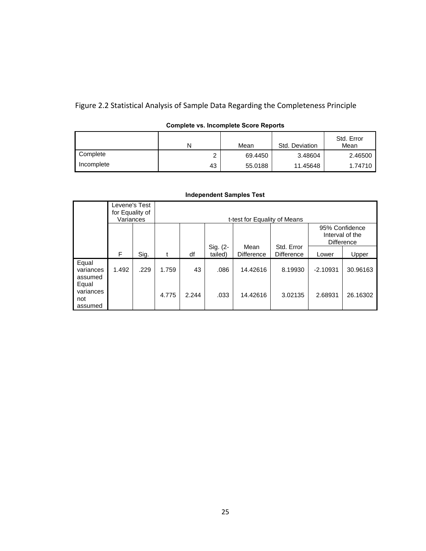Figure 2.2 Statistical Analysis of Sample Data Regarding the Completeness Principle

|            | N  | Mean    | Std. Deviation | Std. Error<br>Mean |
|------------|----|---------|----------------|--------------------|
| Complete   |    | 69.4450 | 3.48604        | 2.46500            |
| Incomplete | 43 | 55.0188 | 11.45648       | 1.74710            |

### **Complete vs. Incomplete Score Reports**

|                                      | Levene's Test<br>for Equality of<br>Variances |      |       |       |                     | t-test for Equality of Means |                          |            |                                                 |
|--------------------------------------|-----------------------------------------------|------|-------|-------|---------------------|------------------------------|--------------------------|------------|-------------------------------------------------|
|                                      |                                               |      |       |       |                     |                              |                          |            | 95% Confidence<br>Interval of the<br>Difference |
|                                      | F                                             | Sig. |       | df    | Sig. (2-<br>tailed) | Mean<br><b>Difference</b>    | Std. Error<br>Difference | Lower      | Upper                                           |
| Equal<br>variances<br>assumed        | 1.492                                         | .229 | 1.759 | 43    | .086                | 14.42616                     | 8.19930                  | $-2.10931$ | 30.96163                                        |
| Equal<br>variances<br>not<br>assumed |                                               |      | 4.775 | 2.244 | .033                | 14.42616                     | 3.02135                  | 2.68931    | 26.16302                                        |

#### **Independent Samples Test**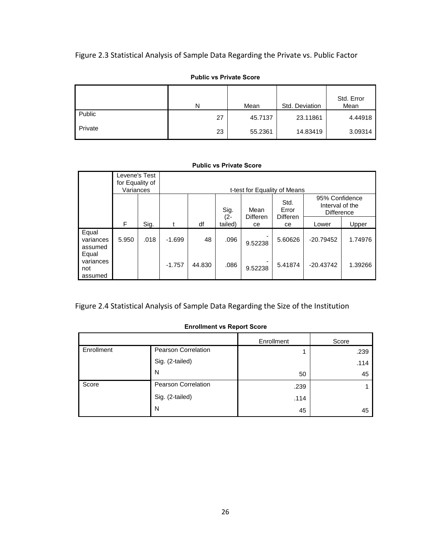# Figure 2.3 Statistical Analysis of Sample Data Regarding the Private vs. Public Factor

|         | Ν  | Mean    | Std. Deviation | Std. Error<br>Mean |
|---------|----|---------|----------------|--------------------|
| Public  | 27 | 45.7137 | 23.11861       | 4.44918            |
| Private | 23 | 55.2361 | 14.83419       | 3.09314            |

#### **Public vs Private Score**

#### **Public vs Private Score**

|                                      | Levene's Test<br>for Equality of<br>Variances |      |          |        |                   |                       | t-test for Equality of Means |                                                        |         |
|--------------------------------------|-----------------------------------------------|------|----------|--------|-------------------|-----------------------|------------------------------|--------------------------------------------------------|---------|
|                                      |                                               |      |          |        | Sig.              | Mean                  | Std.<br>Error                | 95% Confidence<br>Interval of the<br><b>Difference</b> |         |
|                                      | F                                             | Sig. |          | df     | $(2 -$<br>tailed) | <b>Differen</b><br>ce | <b>Differen</b><br>ce        | Lower                                                  | Upper   |
| Equal<br>variances<br>assumed        | 5.950                                         | .018 | $-1.699$ | 48     | .096              | 9.52238               | 5.60626                      | $-20.79452$                                            | 1.74976 |
| Equal<br>variances<br>not<br>assumed |                                               |      | $-1.757$ | 44.830 | .086              | 9.52238               | 5.41874                      | $-20.43742$                                            | 1.39266 |

# Figure 2.4 Statistical Analysis of Sample Data Regarding the Size of the Institution

#### **Enrollment vs Report Score**

|            |                            | Enrollment | Score |
|------------|----------------------------|------------|-------|
| Enrollment | Pearson Correlation        |            | .239  |
|            | Sig. (2-tailed)            |            | .114  |
|            | N                          | 50         | 45    |
| Score      | <b>Pearson Correlation</b> | .239       |       |
|            | Sig. (2-tailed)            | .114       |       |
|            | N                          | 45         | 45    |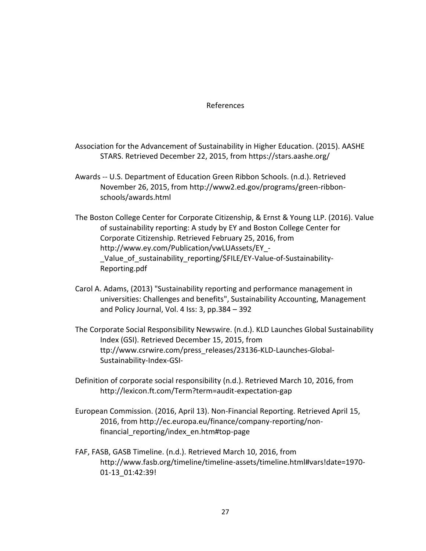#### References

- Association for the Advancement of Sustainability in Higher Education. (2015). AASHE STARS. Retrieved December 22, 2015, from<https://stars.aashe.org/>
- Awards -- U.S. Department of Education Green Ribbon Schools. (n.d.). Retrieved November 26, 2015, from [http://www2.ed.gov/programs/green-ribbon](http://www2.ed.gov/programs/green-ribbon-schools/awards.html)[schools/awards.html](http://www2.ed.gov/programs/green-ribbon-schools/awards.html)
- The Boston College Center for Corporate Citizenship, & Ernst & Young LLP. (2016). Value of sustainability reporting: A study by EY and Boston College Center for Corporate Citizenship. Retrieved February 25, 2016, from [http://www.ey.com/Publication/vwLUAssets/EY\\_-](http://www.ey.com/Publication/vwLUAssets/EY_-_Value_of_sustainability_reporting/$FILE/EY-Value-of-Sustainability-Reporting.pdf) Value of sustainability reporting/\$FILE/EY-Value-of-Sustainability-[Reporting.pdf](http://www.ey.com/Publication/vwLUAssets/EY_-_Value_of_sustainability_reporting/$FILE/EY-Value-of-Sustainability-Reporting.pdf)
- Carol A. Adams, (2013) "Sustainability reporting and performance management in universities: Challenges and benefits", Sustainability Accounting, Management and Policy Journal, Vol. 4 Iss: 3, pp.384 – 392
- The Corporate Social Responsibility Newswire. (n.d.). KLD Launches Global Sustainability Index (GSI). Retrieved December 15, 2015, from ttp://www.csrwire.com/press\_releases/23136-KLD-Launches-Global-Sustainability-Index-GSI-
- Definition of corporate social responsibility (n.d.). Retrieved March 10, 2016, from <http://lexicon.ft.com/Term?term=audit-expectation-gap>
- European Commission. (2016, April 13). Non-Financial Reporting. Retrieved April 15, 2016, from [http://ec.europa.eu/finance/company-reporting/non](http://ec.europa.eu/finance/company-reporting/non-financial_reporting/index_en.htm#top-page)[financial\\_reporting/index\\_en.htm#top-page](http://ec.europa.eu/finance/company-reporting/non-financial_reporting/index_en.htm#top-page)
- FAF, FASB, GASB Timeline. (n.d.). Retrieved March 10, 2016, from [http://www.fasb.org/timeline/timeline-assets/timeline.html#vars!date=1970-](http://www.fasb.org/timeline/timeline-assets/timeline.html#vars!date=1970-01-13_01:42:39) [01-13\\_01:42:39!](http://www.fasb.org/timeline/timeline-assets/timeline.html#vars!date=1970-01-13_01:42:39)